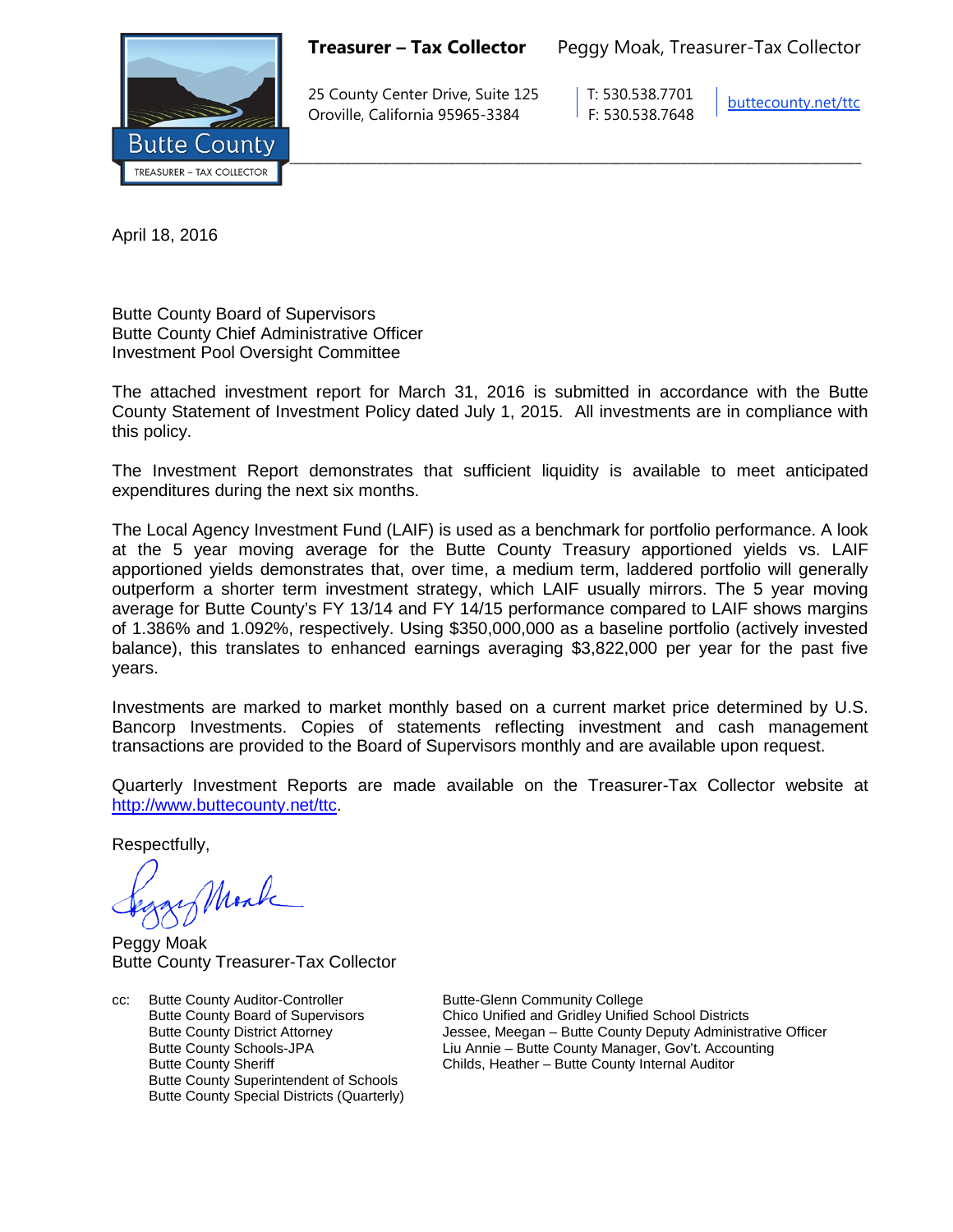

**Treasurer – Tax Collector** Peggy Moak, Treasurer-Tax Collector

25 County Center Drive, Suite 125 T: 530.538.7701 Oroville, California 95965-3384 F: 530.538.7648

[buttecounty.net/t](http://www.buttecounty.net/administration)tc

April 18, 2016

Butte County Board of Supervisors Butte County Chief Administrative Officer Investment Pool Oversight Committee

The attached investment report for March 31, 2016 is submitted in accordance with the Butte County Statement of Investment Policy dated July 1, 2015. All investments are in compliance with this policy.

The Investment Report demonstrates that sufficient liquidity is available to meet anticipated expenditures during the next six months.

The Local Agency Investment Fund (LAIF) is used as a benchmark for portfolio performance. A look at the 5 year moving average for the Butte County Treasury apportioned yields vs. LAIF apportioned yields demonstrates that, over time, a medium term, laddered portfolio will generally outperform a shorter term investment strategy, which LAIF usually mirrors. The 5 year moving average for Butte County's FY 13/14 and FY 14/15 performance compared to LAIF shows margins of 1.386% and 1.092%, respectively. Using \$350,000,000 as a baseline portfolio (actively invested balance), this translates to enhanced earnings averaging \$3,822,000 per year for the past five years.

Investments are marked to market monthly based on a current market price determined by U.S. Bancorp Investments. Copies of statements reflecting investment and cash management transactions are provided to the Board of Supervisors monthly and are available upon request.

Quarterly Investment Reports are made available on the Treasurer-Tax Collector website at <http://www.buttecounty.net/ttc>

Respectfully,

Mark

Peggy Moak Butte County Treasurer-Tax Collector

cc: Butte County Auditor-Controller Butte-Glenn Community College<br>Butte County Board of Supervisors Chico Unified and Gridley Unified Butte County Superintendent of Schools Butte County Special Districts (Quarterly)

Chico Unified and Gridley Unified School Districts Butte County District Attorney Jessee, Meegan – Butte County Deputy Administrative Officer Butte County Schools-JPA<br>
Eiu Annie – Butte County Manager, Gov't. Accounting<br>
Childs, Heather – Butte County Internal Auditor Childs, Heather – Butte County Internal Auditor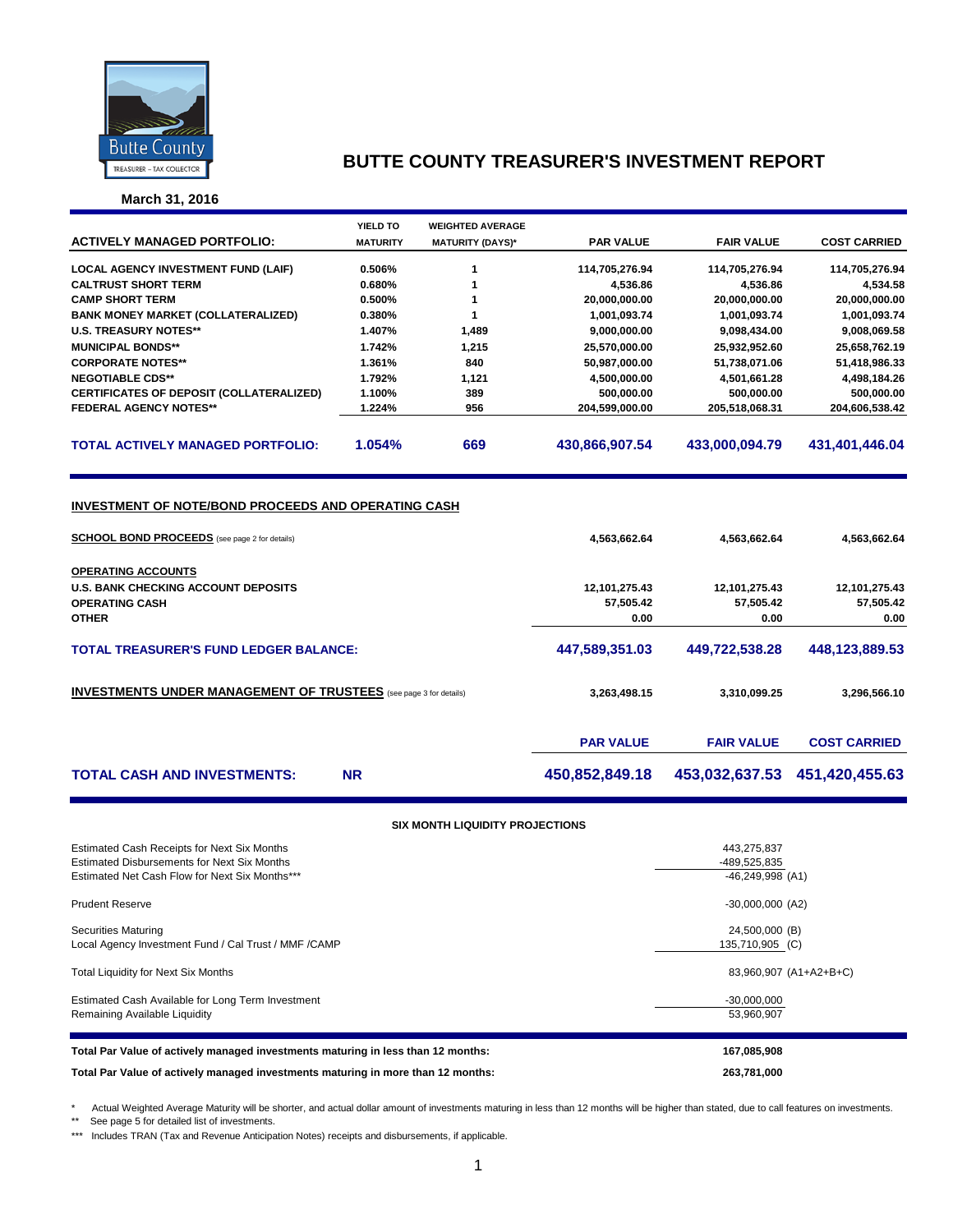

**March 31, 2016**

|                                                                                                                    | YIELD TO         | <b>WEIGHTED AVERAGE</b> |                            |                                  |                            |  |  |  |  |
|--------------------------------------------------------------------------------------------------------------------|------------------|-------------------------|----------------------------|----------------------------------|----------------------------|--|--|--|--|
| <b>ACTIVELY MANAGED PORTFOLIO:</b>                                                                                 | <b>MATURITY</b>  | <b>MATURITY (DAYS)*</b> | <b>PAR VALUE</b>           | <b>FAIR VALUE</b>                | <b>COST CARRIED</b>        |  |  |  |  |
|                                                                                                                    |                  |                         |                            |                                  |                            |  |  |  |  |
| <b>LOCAL AGENCY INVESTMENT FUND (LAIF)</b>                                                                         | 0.506%           | 1<br>1                  | 114,705,276.94             | 114,705,276.94                   | 114,705,276.94             |  |  |  |  |
| <b>CALTRUST SHORT TERM</b><br><b>CAMP SHORT TERM</b>                                                               | 0.680%<br>0.500% | 1                       | 4,536.86<br>20,000,000.00  | 4,536.86<br>20,000,000.00        | 4,534.58<br>20,000,000.00  |  |  |  |  |
| <b>BANK MONEY MARKET (COLLATERALIZED)</b>                                                                          | 0.380%           | 1                       | 1,001,093.74               | 1,001,093.74                     | 1,001,093.74               |  |  |  |  |
| <b>U.S. TREASURY NOTES**</b>                                                                                       | 1.407%           | 1,489                   | 9,000,000.00               | 9,098,434.00                     | 9,008,069.58               |  |  |  |  |
| <b>MUNICIPAL BONDS**</b>                                                                                           | 1.742%           | 1,215                   | 25,570,000.00              | 25,932,952.60                    | 25,658,762.19              |  |  |  |  |
| <b>CORPORATE NOTES**</b>                                                                                           | 1.361%           | 840                     | 50,987,000.00              | 51,738,071.06                    | 51,418,986.33              |  |  |  |  |
| <b>NEGOTIABLE CDS**</b>                                                                                            | 1.792%           | 1,121                   | 4,500,000.00               | 4,501,661.28                     | 4,498,184.26               |  |  |  |  |
| CERTIFICATES OF DEPOSIT (COLLATERALIZED)                                                                           | 1.100%           | 389                     | 500,000.00                 | 500,000.00                       | 500,000.00                 |  |  |  |  |
| <b>FEDERAL AGENCY NOTES**</b>                                                                                      | 1.224%           | 956                     | 204,599,000.00             | 205,518,068.31                   | 204,606,538.42             |  |  |  |  |
| <b>TOTAL ACTIVELY MANAGED PORTFOLIO:</b>                                                                           | 1.054%           | 669                     | 430,866,907.54             | 433,000,094.79                   | 431,401,446.04             |  |  |  |  |
| <b>INVESTMENT OF NOTE/BOND PROCEEDS AND OPERATING CASH</b><br><b>SCHOOL BOND PROCEEDS</b> (see page 2 for details) |                  |                         | 4,563,662.64               | 4,563,662.64                     | 4,563,662.64               |  |  |  |  |
|                                                                                                                    |                  |                         |                            |                                  |                            |  |  |  |  |
| OPERATING ACCOUNTS                                                                                                 |                  |                         |                            |                                  |                            |  |  |  |  |
| <b>U.S. BANK CHECKING ACCOUNT DEPOSITS</b><br><b>OPERATING CASH</b>                                                |                  |                         | 12,101,275.43<br>57,505.42 | 12,101,275.43<br>57,505.42       | 12,101,275.43<br>57,505.42 |  |  |  |  |
| <b>OTHER</b>                                                                                                       |                  |                         | 0.00                       | 0.00                             | 0.00                       |  |  |  |  |
|                                                                                                                    |                  |                         |                            |                                  |                            |  |  |  |  |
| <b>TOTAL TREASURER'S FUND LEDGER BALANCE:</b>                                                                      |                  | 447,589,351.03          | 449,722,538.28             | 448,123,889.53                   |                            |  |  |  |  |
| <b>INVESTMENTS UNDER MANAGEMENT OF TRUSTEES</b> (see page 3 for details)                                           |                  |                         | 3,263,498.15               | 3,310,099.25                     | 3,296,566.10               |  |  |  |  |
|                                                                                                                    |                  |                         | <b>PAR VALUE</b>           | <b>FAIR VALUE</b>                | <b>COST CARRIED</b>        |  |  |  |  |
| <b>TOTAL CASH AND INVESTMENTS:</b>                                                                                 | <b>NR</b>        |                         | 450,852,849.18             | 453,032,637.53                   | 451,420,455.63             |  |  |  |  |
| <b>SIX MONTH LIQUIDITY PROJECTIONS</b>                                                                             |                  |                         |                            |                                  |                            |  |  |  |  |
|                                                                                                                    |                  |                         |                            |                                  |                            |  |  |  |  |
| Estimated Cash Receipts for Next Six Months<br><b>Estimated Disbursements for Next Six Months</b>                  |                  |                         | 443,275,837                |                                  |                            |  |  |  |  |
| Estimated Net Cash Flow for Next Six Months***                                                                     |                  |                         |                            | -489,525,835<br>-46,249,998 (A1) |                            |  |  |  |  |
| <b>Prudent Reserve</b>                                                                                             |                  |                         | $-30,000,000$ (A2)         |                                  |                            |  |  |  |  |
| <b>Securities Maturing</b>                                                                                         |                  |                         |                            | 24,500,000 (B)                   |                            |  |  |  |  |
| Local Agency Investment Fund / Cal Trust / MMF / CAMP                                                              |                  |                         |                            | 135,710,905 (C)                  |                            |  |  |  |  |

Total Liquidity for Next Six Months 83,960,907 (A1+A2+B+C)

Estimated Cash Available for Long Term Investment -30,000,000 Remaining Available Liquidity **1996** S3,960,907

| Total Par Value of actively managed investments maturing in less than 12 months: | 167.085.908 |
|----------------------------------------------------------------------------------|-------------|
| Total Par Value of actively managed investments maturing in more than 12 months: | 263.781.000 |

\* Actual Weighted Average Maturity will be shorter, and actual dollar amount of investments maturing in less than 12 months will be higher than stated, due to call features on investments.

\*\* See page 5 for detailed list of investments.

\*\*\* Includes TRAN (Tax and Revenue Anticipation Notes) receipts and disbursements, if applicable.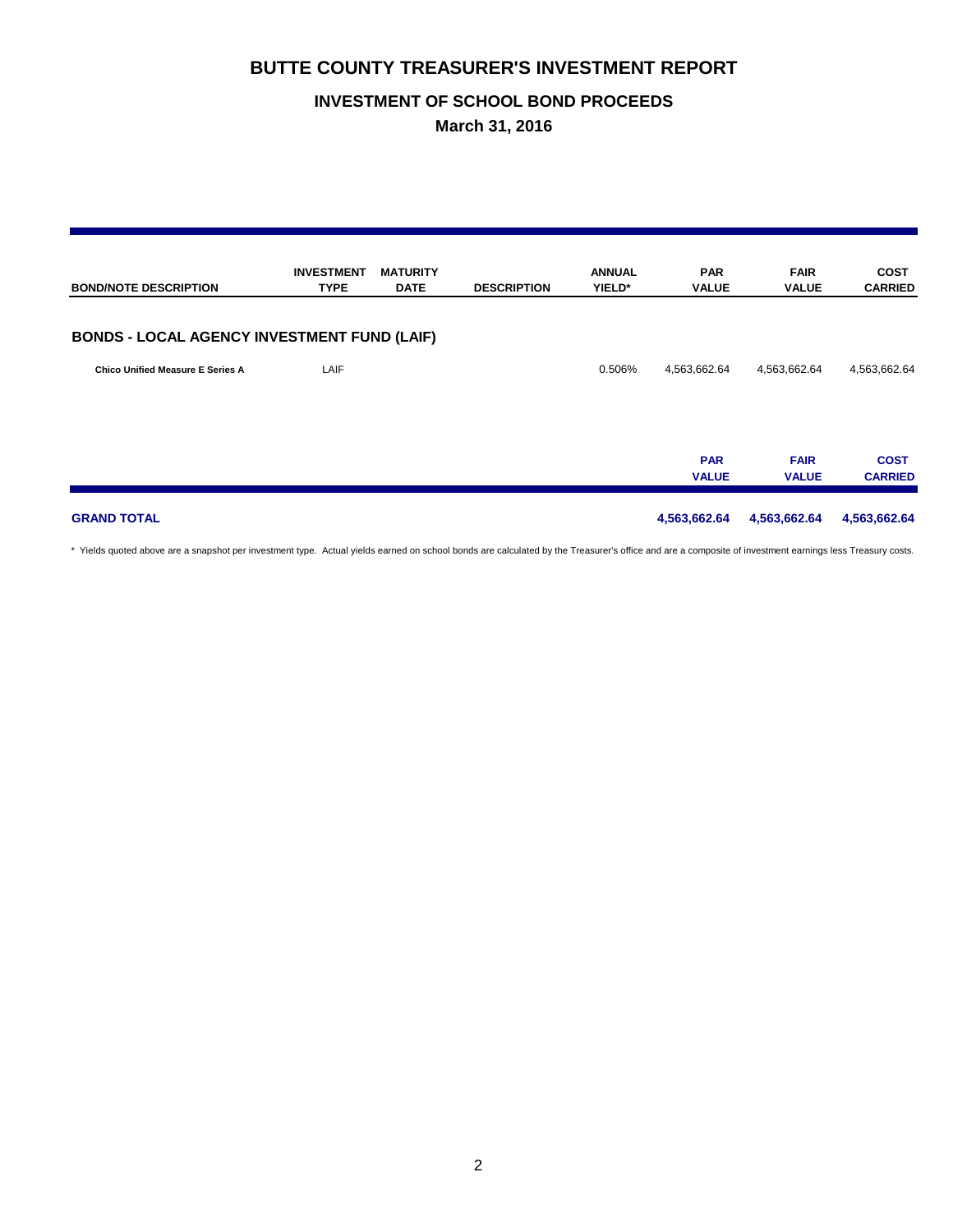## **INVESTMENT OF SCHOOL BOND PROCEEDS**

**March 31, 2016**

| <b>BOND/NOTE DESCRIPTION</b>                       | <b>INVESTMENT</b><br><b>TYPE</b> | <b>MATURITY</b><br><b>DATE</b> | <b>DESCRIPTION</b> | <b>ANNUAL</b><br>YIELD* | <b>PAR</b><br><b>VALUE</b> | <b>FAIR</b><br><b>VALUE</b> | <b>COST</b><br><b>CARRIED</b> |
|----------------------------------------------------|----------------------------------|--------------------------------|--------------------|-------------------------|----------------------------|-----------------------------|-------------------------------|
| <b>BONDS - LOCAL AGENCY INVESTMENT FUND (LAIF)</b> |                                  |                                |                    |                         |                            |                             |                               |
| <b>Chico Unified Measure E Series A</b>            | LAIF                             |                                |                    | 0.506%                  | 4,563,662.64               | 4,563,662.64                | 4,563,662.64                  |
|                                                    |                                  |                                |                    |                         | <b>PAR</b><br><b>VALUE</b> | <b>FAIR</b><br><b>VALUE</b> | <b>COST</b><br><b>CARRIED</b> |
| <b>GRAND TOTAL</b>                                 |                                  |                                |                    |                         | 4,563,662.64               | 4,563,662.64                | 4,563,662.64                  |

\* Yields quoted above are a snapshot per investment type. Actual yields earned on school bonds are calculated by the Treasurer's office and are a composite of investment earnings less Treasury costs.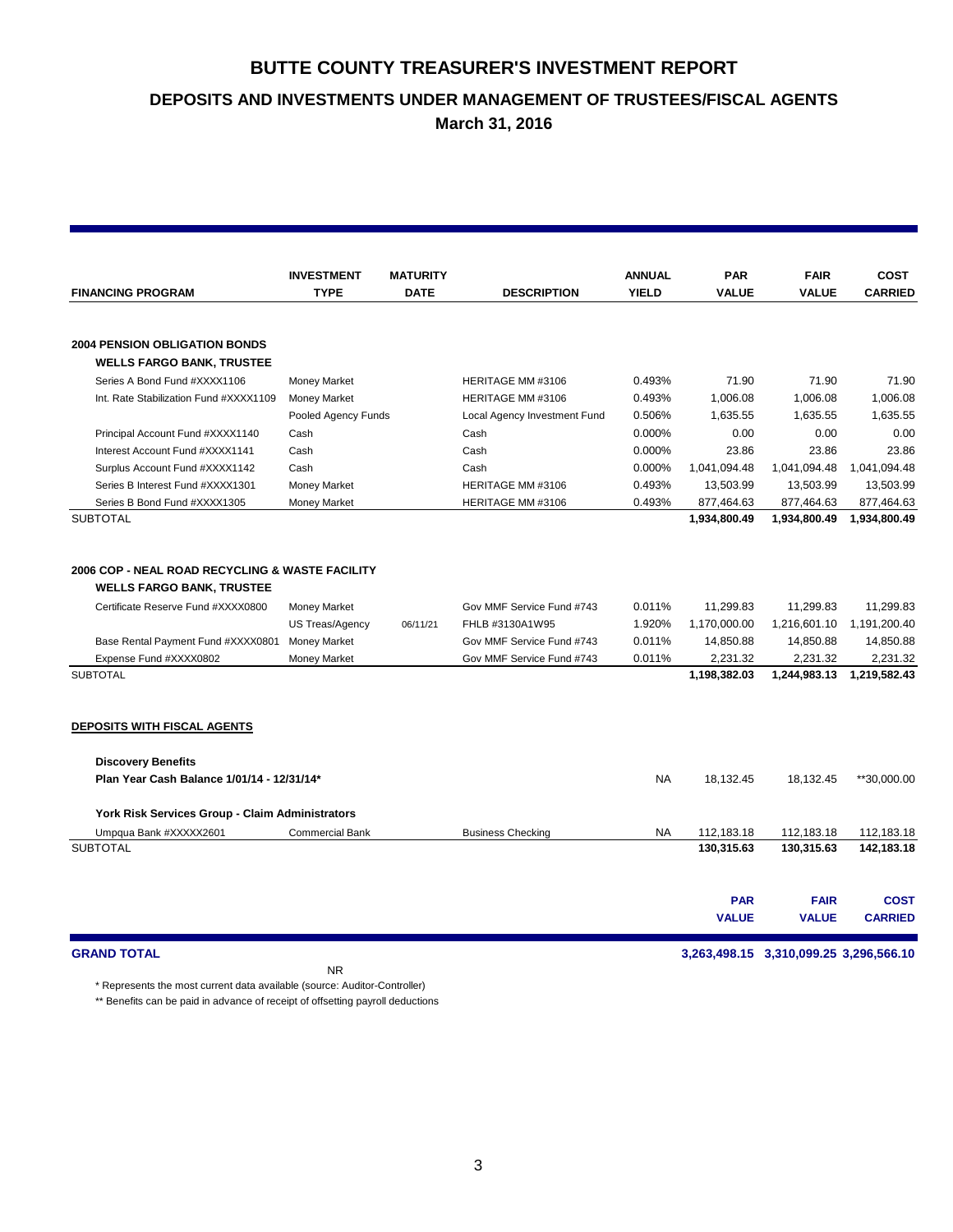**DEPOSITS AND INVESTMENTS UNDER MANAGEMENT OF TRUSTEES/FISCAL AGENTS**

**March 31, 2016**

|                                                                                                                                                                                                                                                          | <b>INVESTMENT</b>                                                    | <b>MATURITY</b> |                                                                                                        | <b>ANNUAL</b>                        | <b>PAR</b>                                                         | <b>FAIR</b>                                                        | <b>COST</b>                                                        |
|----------------------------------------------------------------------------------------------------------------------------------------------------------------------------------------------------------------------------------------------------------|----------------------------------------------------------------------|-----------------|--------------------------------------------------------------------------------------------------------|--------------------------------------|--------------------------------------------------------------------|--------------------------------------------------------------------|--------------------------------------------------------------------|
| <b>FINANCING PROGRAM</b>                                                                                                                                                                                                                                 | <b>TYPE</b>                                                          | <b>DATE</b>     | <b>DESCRIPTION</b>                                                                                     | <b>YIELD</b>                         | <b>VALUE</b>                                                       | <b>VALUE</b>                                                       | <b>CARRIED</b>                                                     |
|                                                                                                                                                                                                                                                          |                                                                      |                 |                                                                                                        |                                      |                                                                    |                                                                    |                                                                    |
| <b>2004 PENSION OBLIGATION BONDS</b>                                                                                                                                                                                                                     |                                                                      |                 |                                                                                                        |                                      |                                                                    |                                                                    |                                                                    |
| <b>WELLS FARGO BANK, TRUSTEE</b>                                                                                                                                                                                                                         |                                                                      |                 |                                                                                                        |                                      |                                                                    |                                                                    |                                                                    |
| Series A Bond Fund #XXXX1106                                                                                                                                                                                                                             | Money Market                                                         |                 | HERITAGE MM #3106                                                                                      | 0.493%                               | 71.90                                                              | 71.90                                                              | 71.90                                                              |
| Int. Rate Stabilization Fund #XXXX1109                                                                                                                                                                                                                   | <b>Money Market</b>                                                  |                 | HERITAGE MM #3106                                                                                      | 0.493%                               | 1,006.08                                                           | 1,006.08                                                           | 1,006.08                                                           |
|                                                                                                                                                                                                                                                          | Pooled Agency Funds                                                  |                 | Local Agency Investment Fund                                                                           | 0.506%                               | 1.635.55                                                           | 1.635.55                                                           | 1.635.55                                                           |
| Principal Account Fund #XXXX1140                                                                                                                                                                                                                         | Cash                                                                 |                 | Cash                                                                                                   | 0.000%                               | 0.00                                                               | 0.00                                                               | 0.00                                                               |
| Interest Account Fund #XXXX1141                                                                                                                                                                                                                          | Cash                                                                 |                 | Cash                                                                                                   | 0.000%                               | 23.86                                                              | 23.86                                                              | 23.86                                                              |
| Surplus Account Fund #XXXX1142                                                                                                                                                                                                                           | Cash                                                                 |                 | Cash                                                                                                   | 0.000%                               | 1,041,094.48                                                       | 1,041,094.48                                                       | 1,041,094.48                                                       |
| Series B Interest Fund #XXXX1301                                                                                                                                                                                                                         | <b>Money Market</b>                                                  |                 | HERITAGE MM #3106                                                                                      | 0.493%                               | 13,503.99                                                          | 13,503.99                                                          | 13,503.99                                                          |
| Series B Bond Fund #XXXX1305                                                                                                                                                                                                                             | <b>Money Market</b>                                                  |                 | HERITAGE MM #3106                                                                                      | 0.493%                               | 877,464.63                                                         | 877,464.63                                                         | 877,464.63                                                         |
| <b>SUBTOTAL</b>                                                                                                                                                                                                                                          |                                                                      |                 |                                                                                                        |                                      | 1,934,800.49                                                       | 1,934,800.49                                                       | 1,934,800.49                                                       |
| 2006 COP - NEAL ROAD RECYCLING & WASTE FACILITY<br><b>WELLS FARGO BANK, TRUSTEE</b><br>Certificate Reserve Fund #XXXX0800<br>Base Rental Payment Fund #XXXX0801 Money Market<br>Expense Fund #XXXX0802<br><b>SUBTOTAL</b><br>DEPOSITS WITH FISCAL AGENTS | <b>Money Market</b><br><b>US Treas/Agency</b><br><b>Money Market</b> | 06/11/21        | Gov MMF Service Fund #743<br>FHLB #3130A1W95<br>Gov MMF Service Fund #743<br>Gov MMF Service Fund #743 | 0.011%<br>1.920%<br>0.011%<br>0.011% | 11,299.83<br>1,170,000.00<br>14,850.88<br>2,231.32<br>1,198,382.03 | 11,299.83<br>1,216,601.10<br>14,850.88<br>2,231.32<br>1,244,983.13 | 11,299.83<br>1,191,200.40<br>14,850.88<br>2,231.32<br>1,219,582.43 |
| <b>Discovery Benefits</b>                                                                                                                                                                                                                                |                                                                      |                 |                                                                                                        |                                      |                                                                    |                                                                    |                                                                    |
| Plan Year Cash Balance 1/01/14 - 12/31/14*                                                                                                                                                                                                               |                                                                      |                 |                                                                                                        | <b>NA</b>                            | 18,132.45                                                          | 18,132.45                                                          | **30,000.00                                                        |
|                                                                                                                                                                                                                                                          |                                                                      |                 |                                                                                                        |                                      |                                                                    |                                                                    |                                                                    |
| York Risk Services Group - Claim Administrators                                                                                                                                                                                                          |                                                                      |                 |                                                                                                        |                                      |                                                                    |                                                                    |                                                                    |
| Umpqua Bank #XXXXX2601                                                                                                                                                                                                                                   | <b>Commercial Bank</b>                                               |                 | <b>Business Checking</b>                                                                               | <b>NA</b>                            | 112,183.18                                                         | 112,183.18                                                         | 112,183.18                                                         |
| <b>SUBTOTAL</b>                                                                                                                                                                                                                                          |                                                                      |                 |                                                                                                        |                                      | 130,315.63                                                         | 130,315.63                                                         | 142,183.18                                                         |
|                                                                                                                                                                                                                                                          |                                                                      |                 |                                                                                                        |                                      |                                                                    |                                                                    |                                                                    |
|                                                                                                                                                                                                                                                          |                                                                      |                 |                                                                                                        |                                      | <b>PAR</b><br><b>VALUE</b>                                         | <b>FAIR</b><br><b>VALUE</b>                                        | <b>COST</b><br><b>CARRIED</b>                                      |
|                                                                                                                                                                                                                                                          |                                                                      |                 |                                                                                                        |                                      |                                                                    |                                                                    |                                                                    |

**GRAND TOTAL 3,263,498.15 3,310,099.25 3,296,566.10**

\* Represents the most current data available (source: Auditor-Controller)

\*\* Benefits can be paid in advance of receipt of offsetting payroll deductions

NR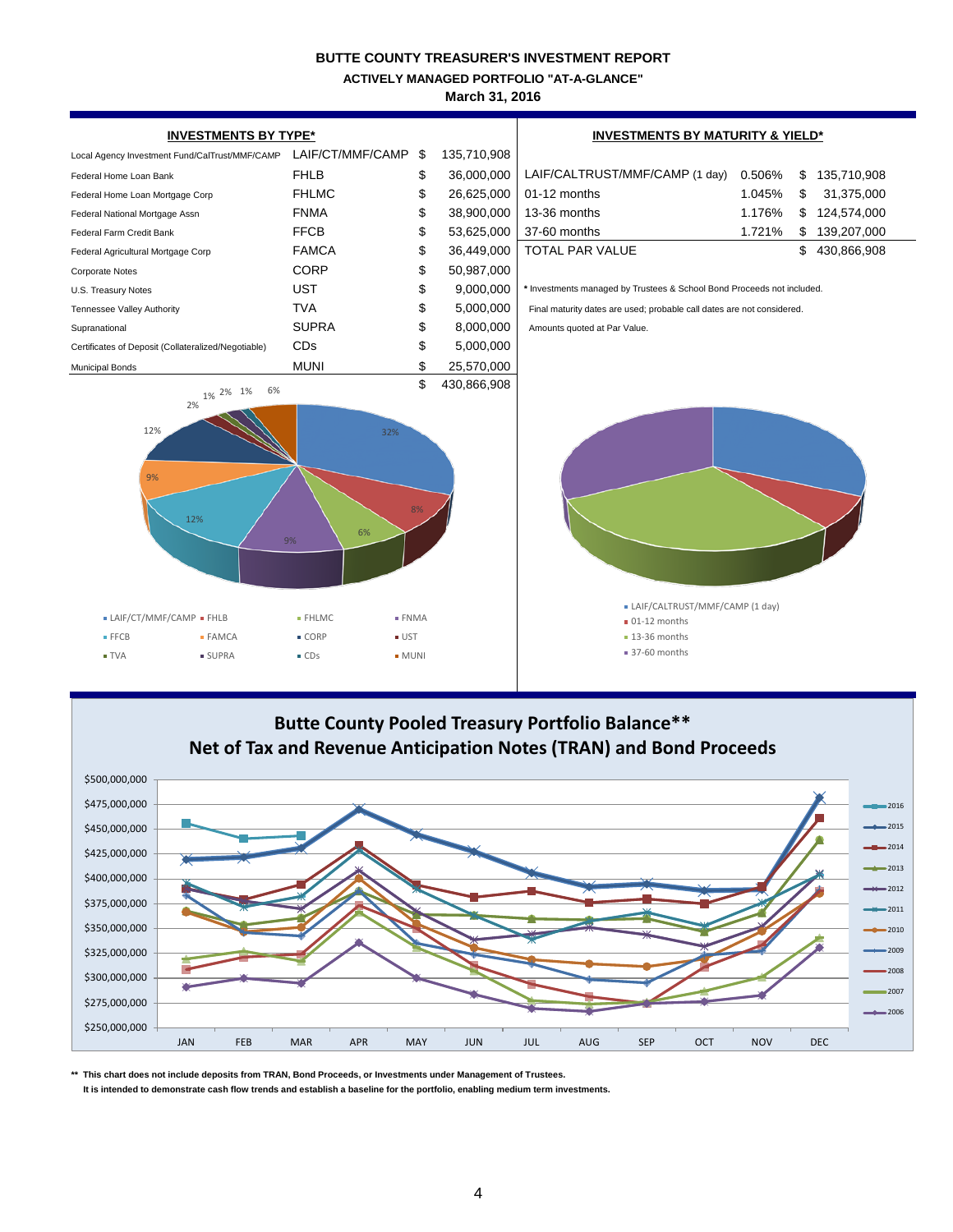**ACTIVELY MANAGED PORTFOLIO "AT-A-GLANCE"**

**March 31, 2016**



# **Net of Tax and Revenue Anticipation Notes (TRAN) and Bond Proceeds**



**\*\* This chart does not include deposits from TRAN, Bond Proceeds, or Investments under Management of Trustees.**

 **It is intended to demonstrate cash flow trends and establish a baseline for the portfolio, enabling medium term investments.**